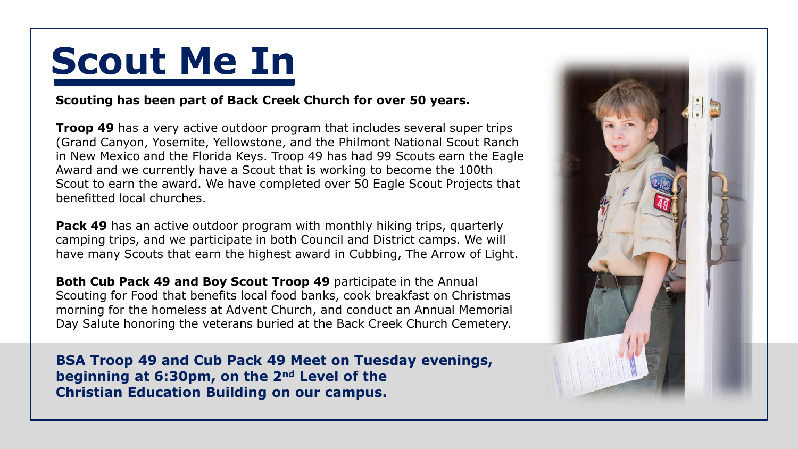## **Scout Me In**

## **Scouting has been part of Back Creek Church for over 50 years.**

**Troop 49** has a very active outdoor program that includes several super trips (Grand Canyon, Yosemite, Yellowstone, and the Philmont National Scout Ranch in New Mexico and the Florida Keys. Troop 49 has had 99 Scouts earn the Eagle Award and we currently have a Scout that is working to become the 100th Scout to earn the award. We have completed over 50 Eagle Scout Projects that benefitted local churches.

**Pack 49** has an active outdoor program with monthly hiking trips, quarterly camping trips, and we participate in both Council and District camps. We will have many Scouts that earn the highest award in Cubbing, The Arrow of Light.

**Both Cub Pack 49 and Boy Scout Troop 49** participate in the Annual Scouting for Food that benefits local food banks, cook breakfast on Christmas morning for the homeless at Advent Church, and conduct an Annual Memorial Day Salute honoring the veterans buried at the Back Creek Church Cemetery.

**BSA Troop 49 and Cub Pack 49 Meet on Tuesday evenings, beginning at 6:30pm, on the 2nd Level of the Christian Education Building on our campus.**